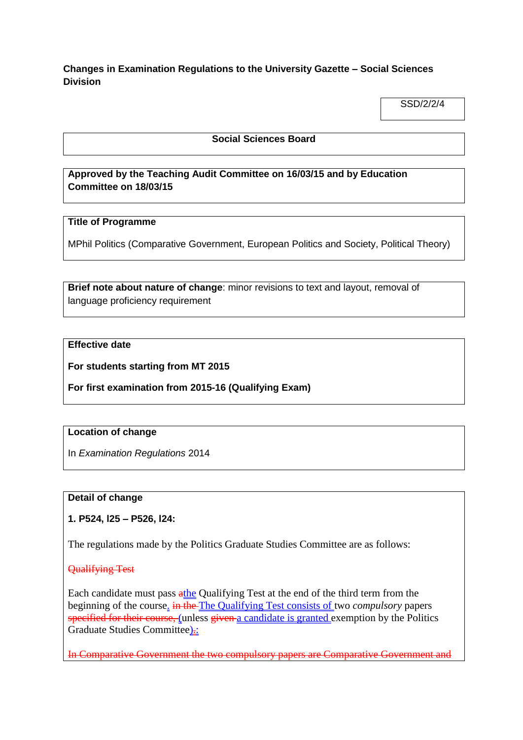**Changes in Examination Regulations to the University Gazette – Social Sciences Division**

SSD/2/2/4

#### **Social Sciences Board**

## **Approved by the Teaching Audit Committee on 16/03/15 and by Education Committee on 18/03/15**

## **Title of Programme**

MPhil Politics (Comparative Government, European Politics and Society, Political Theory)

**Brief note about nature of change**: minor revisions to text and layout, removal of language proficiency requirement

## **Effective date**

**For students starting from MT 2015**

**For first examination from 2015-16 (Qualifying Exam)**

#### **Location of change**

In *Examination Regulations* 2014

## **Detail of change**

#### **1. P524, l25 – P526, l24:**

The regulations made by the Politics Graduate Studies Committee are as follows:

#### Qualifying Test

Each candidate must pass athe Qualifying Test at the end of the third term from the beginning of the course. in the The Qualifying Test consists of two *compulsory* papers specified for their course, (unless given a candidate is granted exemption by the Politics Graduate Studies Committee).:

In Comparative Government the two compulsory papers are Comparative Government and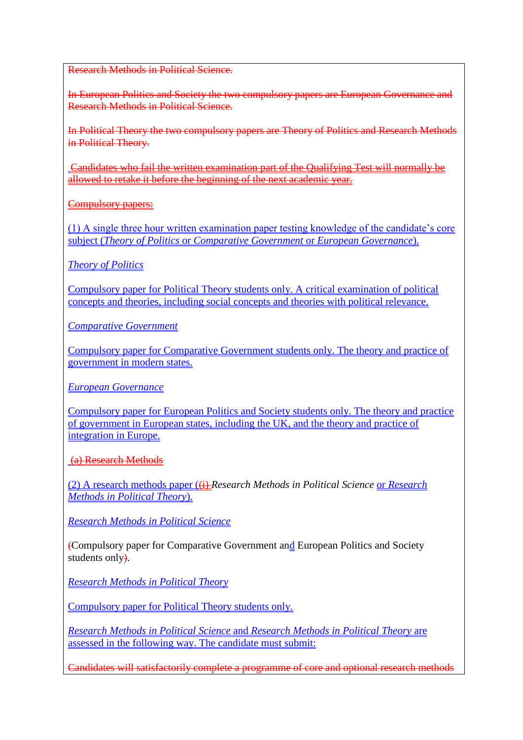Research Methods in Political Science.

In European Politics and Society the two compulsory papers are European Governance and Research Methods in Political Science.

In Political Theory the two compulsory papers are Theory of Politics and Research Methods in Political Theory.

Candidates who fail the written examination part of the Qualifying Test will normally be allowed to retake it before the beginning of the next academic year.

Compulsory papers:

(1) A single three hour written examination paper testing knowledge of the candidate's core subject (*Theory of Politics* or *Comparative Government* or *European Governance*).

*Theory of Politics*

Compulsory paper for Political Theory students only. A critical examination of political concepts and theories, including social concepts and theories with political relevance.

*Comparative Government*

Compulsory paper for Comparative Government students only. The theory and practice of government in modern states.

*European Governance*

Compulsory paper for European Politics and Society students only. The theory and practice of government in European states, including the UK, and the theory and practice of integration in Europe.

(a) Research Methods

(2) A research methods paper ((i) *Research Methods in Political Science* or *Research Methods in Political Theory*).

*Research Methods in Political Science*

(Compulsory paper for Comparative Government and European Politics and Society students only.

*Research Methods in Political Theory*

Compulsory paper for Political Theory students only.

*Research Methods in Political Science* and *Research Methods in Political Theory* are assessed in the following way. The candidate must submit:

Candidates will satisfactorily complete a programme of core and optional research methods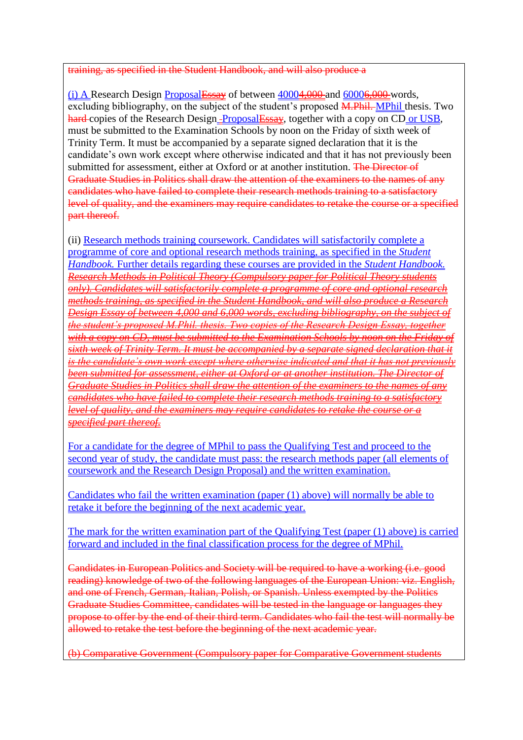#### training, as specified in the Student Handbook, and will also produce a

(i) A Research Design **Proposal Essay** of between  $40004,000$  and  $60006,000$  words, excluding bibliography, on the subject of the student's proposed **M.Phil. MPhil** thesis. Two hard-copies of the Research Design-ProposalEssay, together with a copy on CD or USB, must be submitted to the Examination Schools by noon on the Friday of sixth week of Trinity Term. It must be accompanied by a separate signed declaration that it is the candidate's own work except where otherwise indicated and that it has not previously been submitted for assessment, either at Oxford or at another institution. The Director of Graduate Studies in Politics shall draw the attention of the examiners to the names of any candidates who have failed to complete their research methods training to a satisfactory level of quality, and the examiners may require candidates to retake the course or a specified part thereof.

(ii) Research methods training coursework. Candidates will satisfactorily complete a programme of core and optional research methods training, as specified in the *Student Handbook.* Further details regarding these courses are provided in the *Student Handbook. Research Methods in Political Theory (Compulsory paper for Political Theory students only). Candidates will satisfactorily complete a programme of core and optional research methods training, as specified in the Student Handbook, and will also produce a Research Design Essay of between 4,000 and 6,000 words, excluding bibliography, on the subject of the student's proposed M.Phil. thesis. Two copies of the Research Design Essay, together with a copy on CD, must be submitted to the Examination Schools by noon on the Friday of sixth week of Trinity Term. It must be accompanied by a separate signed declaration that it is the candidate's own work except where otherwise indicated and that it has not previously been submitted for assessment, either at Oxford or at another institution. The Director of Graduate Studies in Politics shall draw the attention of the examiners to the names of any candidates who have failed to complete their research methods training to a satisfactory level of quality, and the examiners may require candidates to retake the course or a specified part thereof.* 

For a candidate for the degree of MPhil to pass the Qualifying Test and proceed to the second year of study, the candidate must pass: the research methods paper (all elements of coursework and the Research Design Proposal) and the written examination.

Candidates who fail the written examination (paper (1) above) will normally be able to retake it before the beginning of the next academic year.

The mark for the written examination part of the Qualifying Test (paper (1) above) is carried forward and included in the final classification process for the degree of MPhil.

Candidates in European Politics and Society will be required to have a working (i.e. good reading) knowledge of two of the following languages of the European Union: viz. English, and one of French, German, Italian, Polish, or Spanish. Unless exempted by the Politics Graduate Studies Committee, candidates will be tested in the language or languages they propose to offer by the end of their third term. Candidates who fail the test will normally be allowed to retake the test before the beginning of the next academic year.

(b) Comparative Government (Compulsory paper for Comparative Government students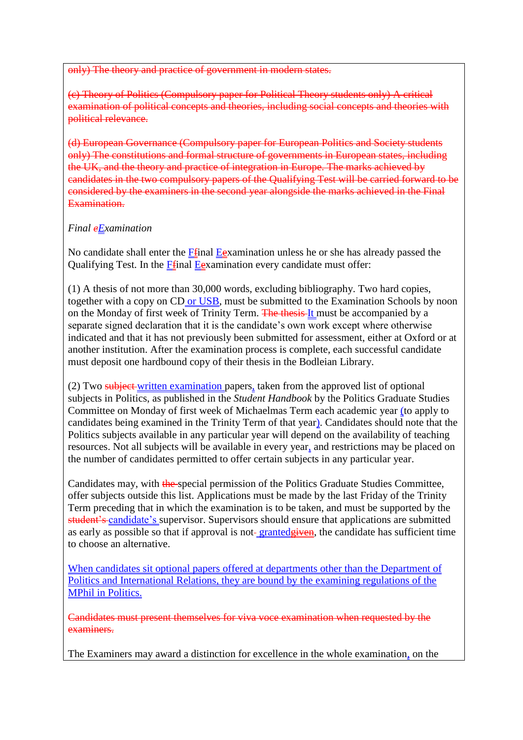only) The theory and practice of government in

(c) Theory of Politics (Compulsory paper for Political Theory students only) A critical examination of political concepts and theories, including social concepts and theories with political relevance.

(d) European Governance (Compulsory paper for European Politics and Society students only) The constitutions and formal structure of governments in European states, including the UK, and the theory and practice of integration in Europe. The marks achieved by candidates in the two compulsory papers of the Qualifying Test will be carried forward to be considered by the examiners in the second year alongside the marks achieved in the Final Examination.

# *Final eExamination*

No candidate shall enter the **F**final Examination unless he or she has already passed the Qualifying Test. In the Ffinal Eexamination every candidate must offer:

(1) A thesis of not more than 30,000 words, excluding bibliography. Two hard copies, together with a copy on CD or USB, must be submitted to the Examination Schools by noon on the Monday of first week of Trinity Term. The thesis It must be accompanied by a separate signed declaration that it is the candidate's own work except where otherwise indicated and that it has not previously been submitted for assessment, either at Oxford or at another institution. After the examination process is complete, each successful candidate must deposit one hardbound copy of their thesis in the Bodleian Library.

(2) Two subject written examination papers, taken from the approved list of optional subjects in Politics, as published in the *Student Handbook* by the Politics Graduate Studies Committee on Monday of first week of Michaelmas Term each academic year (to apply to candidates being examined in the Trinity Term of that year). Candidates should note that the Politics subjects available in any particular year will depend on the availability of teaching resources. Not all subjects will be available in every year, and restrictions may be placed on the number of candidates permitted to offer certain subjects in any particular year.

Candidates may, with the special permission of the Politics Graduate Studies Committee, offer subjects outside this list. Applications must be made by the last Friday of the Trinity Term preceding that in which the examination is to be taken, and must be supported by the student's candidate's supervisor. Supervisors should ensure that applications are submitted as early as possible so that if approval is not-granted given, the candidate has sufficient time to choose an alternative.

When candidates sit optional papers offered at departments other than the Department of Politics and International Relations, they are bound by the examining regulations of the MPhil in Politics.

Candidates must present themselves for viva voce examination when requested by the examiners.

The Examiners may award a distinction for excellence in the whole examination, on the